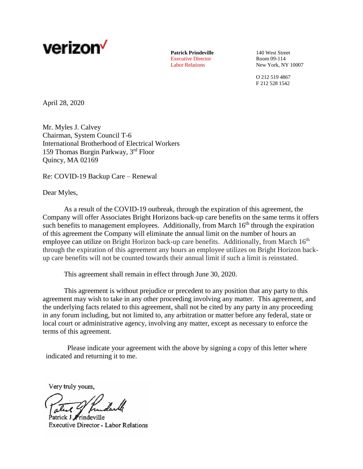

**Patrick Prindeville** 140 West Street<br>Executive Director Room 09-114 Executive Director

Labor Relations New York, NY 10007

O 212 519 4867 F 212 528 1542

April 28, 2020

Mr. Myles J. Calvey Chairman, System Council T-6 International Brotherhood of Electrical Workers 159 Thomas Burgin Parkway, 3rd Floor Quincy, MA 02169

Re: COVID-19 Backup Care – Renewal

Dear Myles,

As a result of the COVID-19 outbreak, through the expiration of this agreement, the Company will offer Associates Bright Horizons back-up care benefits on the same terms it offers such benefits to management employees. Additionally, from March  $16<sup>th</sup>$  through the expiration of this agreement the Company will eliminate the annual limit on the number of hours an employee can utilize on Bright Horizon back-up care benefits. Additionally, from March  $16<sup>th</sup>$ through the expiration of this agreement any hours an employee utilizes on Bright Horizon backup care benefits will not be counted towards their annual limit if such a limit is reinstated.

This agreement shall remain in effect through June 30, 2020.

This agreement is without prejudice or precedent to any position that any party to this agreement may wish to take in any other proceeding involving any matter. This agreement, and the underlying facts related to this agreement, shall not be cited by any party in any proceeding in any forum including, but not limited to, any arbitration or matter before any federal, state or local court or administrative agency, involving any matter, except as necessary to enforce the terms of this agreement.

Please indicate your agreement with the above by signing a copy of this letter where indicated and returning it to me.

Very truly yours,

 $ck$  J. Frindeville **Executive Director - Labor Relations**